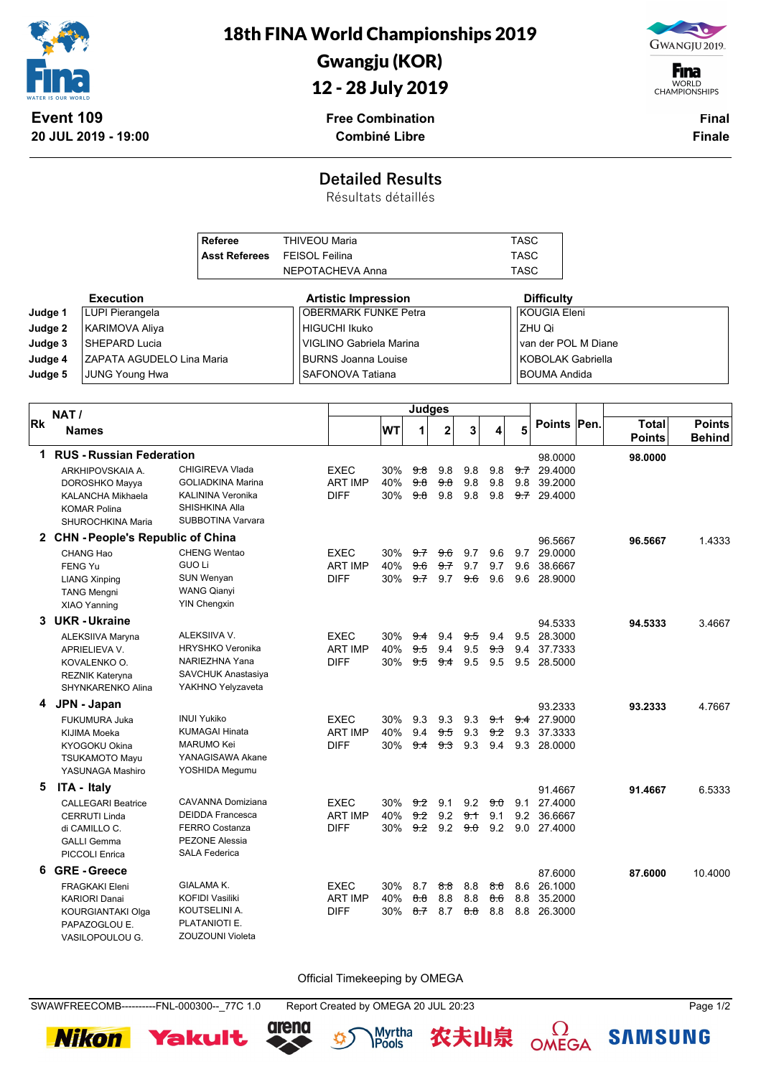

18th FINA World Championships 2019

## Gwangju (KOR)

12 - 28 July 2019



**F**ina WORLD<br>CHAMPIONSHIPS

**Free Combination Combiné Libre**

**Final Finale**

## **Detailed Results**

Résultats détaillés

| <b>Execution</b><br><b>Difficulty</b><br><b>Artistic Impression</b><br><b>OBERMARK FUNKE Petra</b><br><b>KOUGIA Eleni</b><br><b>LUPI Pierangela</b><br>Judge 1<br><b>HIGUCHI Ikuko</b><br>ZHU Qi<br>Judge 2<br><b>KARIMOVA Aliya</b><br>SHEPARD Lucia<br>van der POL M Diane<br>Judge 3<br>VIGLINO Gabriela Marina<br><b>KOBOLAK Gabriella</b><br>Judge 4<br>ZAPATA AGUDELO Lina Maria<br><b>BURNS Joanna Louise</b><br>SAFONOVA Tatiana<br>Judge 5<br><b>JUNG Young Hwa</b><br><b>BOUMA Andida</b><br><b>Judges</b><br>NAT/<br>Points Pen.<br><b>Total</b><br>5<br>$\mathbf{2}$<br>WT<br>3<br>1<br><b>Names</b><br><b>Points</b><br><b>Behind</b><br><b>RUS - Russian Federation</b><br>1.<br>98.0000<br>98.0000<br>CHIGIREVA Vlada<br><b>EXEC</b><br>30%<br>9.8<br>9.8<br><del>9.7</del> 29.4000<br>ARKHIPOVSKAIA A.<br><del>9.8</del><br>9.8<br><b>GOLIADKINA Marina</b><br><b>ART IMP</b><br>40%<br>9.8<br>9.8<br>9.8<br>9.8<br>9.8<br>39,2000<br>DOROSHKO Mayya<br>KALININA Veronika<br><b>DIFF</b><br>9.8<br>30%<br>9.8<br>9.8<br>9.8<br>$9.7$ 29.4000<br>KALANCHA Mikhaela<br>SHISHKINA Alla<br><b>KOMAR Polina</b><br>SUBBOTINA Varvara<br>SHUROCHKINA Maria<br>2 CHN - People's Republic of China<br>96.5667<br>1.4333<br>96.5667<br><b>CHENG Wentao</b><br><b>EXEC</b><br>9.7<br>9.6<br>9.7<br>29.0000<br>CHANG Hao<br>30%<br>9.7<br>9.6<br><b>GUO Li</b><br><b>ART IMP</b><br>40%<br>9.6<br>9.7<br>9.7<br>9.7<br>9.6<br>38.6667<br><b>FENG Yu</b><br><b>DIFF</b><br><b>SUN Wenyan</b><br>30%<br>9.7<br>9.7<br>9.6<br>9.6<br>9.6 28,9000<br><b>LIANG Xinping</b><br><b>WANG Qianyi</b><br><b>TANG Mengni</b><br><b>YIN Chengxin</b><br>XIAO Yanning<br>3 UKR-Ukraine<br>94.5333<br>94.5333<br>3.4667<br>ALEKSIIVA V.<br><b>EXEC</b><br>9.4<br>9.5 28.3000<br>ALEKSIIVA Maryna<br>30%<br>9.4<br>9.4<br><del>9.5</del><br><b>HRYSHKO Veronika</b><br><b>ART IMP</b><br>9.5<br>40%<br>9.5<br>9.4<br><del>9.3</del><br>9.4 37.7333<br>APRIELIEVA V.<br>NARIEZHNA Yana<br><b>DIFF</b><br>30%<br><del>9.4</del> 9.5<br>9.5<br>9.5 28.5000<br>9.5<br>KOVALENKO O.<br>SAVCHUK Anastasiya<br><b>REZNIK Kateryna</b><br>YAKHNO Yelyzaveta<br>SHYNKARENKO Alina<br>4 JPN - Japan<br>93.2333<br>93.2333<br>4.7667<br><b>INUI Yukiko</b><br><b>EXEC</b><br>30%<br>9.3<br>9.3<br>9.3<br><del>9.4</del> 27.9000<br>9.1<br>FUKUMURA Juka<br><b>ART IMP</b><br>9.4<br><b>KUMAGAI Hinata</b><br>40%<br>9.5<br>9.3<br>9.2<br>9.3<br>37.3333<br>KIJIMA Moeka<br><b>MARUMO Kei</b><br><b>DIFF</b><br>30%<br><del>93</del><br>9.3<br>9.4<br>KYOGOKU Okina<br>9.4<br>9.3 28,0000<br>YANAGISAWA Akane<br><b>TSUKAMOTO Mayu</b><br>YOSHIDA Megumu<br>YASUNAGA Mashiro<br>5<br><b>ITA - Italy</b><br>91.4667<br>91.4667<br>6.5333<br>EXEC<br>30% 9.2 9.1 9.2 9.0 9.1 27.4000<br>CAVANNA Domiziana<br><b>CALLEGARI Beatrice</b><br><b>DEIDDA Francesca</b><br>ART IMP<br>40% 9.2 9.2 9.1 9.1 9.2 36.6667<br>CERRUTI Linda<br>FERRO Costanza<br><b>DIFF</b><br>30% 9.2 9.2 9.0 9.2 9.0 27.4000<br>di CAMILLO C.<br><b>PEZONE Alessia</b><br><b>GALLI Gemma</b><br><b>SALA Federica</b><br>PICCOLI Enrica<br>6 GRE-Greece<br>87.6000<br>87.6000<br>10.4000<br>30% 8.7 <del>8.8</del> 8.8 <del>8.6</del> |    | <b>Referee</b><br><b>Asst Referees</b> |            |  | <b>THIVEOU Maria</b><br><b>FEISOL Feilina</b><br>NEPOTACHEVA Anna |  |  |  | <b>TASC</b><br><b>TASC</b><br><b>TASC</b> |  |             |  |  |
|--------------------------------------------------------------------------------------------------------------------------------------------------------------------------------------------------------------------------------------------------------------------------------------------------------------------------------------------------------------------------------------------------------------------------------------------------------------------------------------------------------------------------------------------------------------------------------------------------------------------------------------------------------------------------------------------------------------------------------------------------------------------------------------------------------------------------------------------------------------------------------------------------------------------------------------------------------------------------------------------------------------------------------------------------------------------------------------------------------------------------------------------------------------------------------------------------------------------------------------------------------------------------------------------------------------------------------------------------------------------------------------------------------------------------------------------------------------------------------------------------------------------------------------------------------------------------------------------------------------------------------------------------------------------------------------------------------------------------------------------------------------------------------------------------------------------------------------------------------------------------------------------------------------------------------------------------------------------------------------------------------------------------------------------------------------------------------------------------------------------------------------------------------------------------------------------------------------------------------------------------------------------------------------------------------------------------------------------------------------------------------------------------------------------------------------------------------------------------------------------------------------------------------------------------------------------------------------------------------------------------------------------------------------------------------------------------------------------------------------------------------------------------------------------------------------------------------------------------------------------------------------------------------------------------------------------------------------------------------------------------------------------------------------------------------------------------------------------------------------------------------------------------------------------------------------|----|----------------------------------------|------------|--|-------------------------------------------------------------------|--|--|--|-------------------------------------------|--|-------------|--|--|
|                                                                                                                                                                                                                                                                                                                                                                                                                                                                                                                                                                                                                                                                                                                                                                                                                                                                                                                                                                                                                                                                                                                                                                                                                                                                                                                                                                                                                                                                                                                                                                                                                                                                                                                                                                                                                                                                                                                                                                                                                                                                                                                                                                                                                                                                                                                                                                                                                                                                                                                                                                                                                                                                                                                                                                                                                                                                                                                                                                                                                                                                                                                                                                                      |    |                                        |            |  |                                                                   |  |  |  |                                           |  |             |  |  |
| Points                                                                                                                                                                                                                                                                                                                                                                                                                                                                                                                                                                                                                                                                                                                                                                                                                                                                                                                                                                                                                                                                                                                                                                                                                                                                                                                                                                                                                                                                                                                                                                                                                                                                                                                                                                                                                                                                                                                                                                                                                                                                                                                                                                                                                                                                                                                                                                                                                                                                                                                                                                                                                                                                                                                                                                                                                                                                                                                                                                                                                                                                                                                                                                               |    |                                        |            |  |                                                                   |  |  |  |                                           |  |             |  |  |
|                                                                                                                                                                                                                                                                                                                                                                                                                                                                                                                                                                                                                                                                                                                                                                                                                                                                                                                                                                                                                                                                                                                                                                                                                                                                                                                                                                                                                                                                                                                                                                                                                                                                                                                                                                                                                                                                                                                                                                                                                                                                                                                                                                                                                                                                                                                                                                                                                                                                                                                                                                                                                                                                                                                                                                                                                                                                                                                                                                                                                                                                                                                                                                                      |    |                                        |            |  |                                                                   |  |  |  |                                           |  |             |  |  |
|                                                                                                                                                                                                                                                                                                                                                                                                                                                                                                                                                                                                                                                                                                                                                                                                                                                                                                                                                                                                                                                                                                                                                                                                                                                                                                                                                                                                                                                                                                                                                                                                                                                                                                                                                                                                                                                                                                                                                                                                                                                                                                                                                                                                                                                                                                                                                                                                                                                                                                                                                                                                                                                                                                                                                                                                                                                                                                                                                                                                                                                                                                                                                                                      |    |                                        |            |  |                                                                   |  |  |  |                                           |  |             |  |  |
|                                                                                                                                                                                                                                                                                                                                                                                                                                                                                                                                                                                                                                                                                                                                                                                                                                                                                                                                                                                                                                                                                                                                                                                                                                                                                                                                                                                                                                                                                                                                                                                                                                                                                                                                                                                                                                                                                                                                                                                                                                                                                                                                                                                                                                                                                                                                                                                                                                                                                                                                                                                                                                                                                                                                                                                                                                                                                                                                                                                                                                                                                                                                                                                      |    |                                        |            |  |                                                                   |  |  |  |                                           |  |             |  |  |
|                                                                                                                                                                                                                                                                                                                                                                                                                                                                                                                                                                                                                                                                                                                                                                                                                                                                                                                                                                                                                                                                                                                                                                                                                                                                                                                                                                                                                                                                                                                                                                                                                                                                                                                                                                                                                                                                                                                                                                                                                                                                                                                                                                                                                                                                                                                                                                                                                                                                                                                                                                                                                                                                                                                                                                                                                                                                                                                                                                                                                                                                                                                                                                                      |    |                                        |            |  |                                                                   |  |  |  |                                           |  |             |  |  |
|                                                                                                                                                                                                                                                                                                                                                                                                                                                                                                                                                                                                                                                                                                                                                                                                                                                                                                                                                                                                                                                                                                                                                                                                                                                                                                                                                                                                                                                                                                                                                                                                                                                                                                                                                                                                                                                                                                                                                                                                                                                                                                                                                                                                                                                                                                                                                                                                                                                                                                                                                                                                                                                                                                                                                                                                                                                                                                                                                                                                                                                                                                                                                                                      |    |                                        |            |  |                                                                   |  |  |  |                                           |  |             |  |  |
|                                                                                                                                                                                                                                                                                                                                                                                                                                                                                                                                                                                                                                                                                                                                                                                                                                                                                                                                                                                                                                                                                                                                                                                                                                                                                                                                                                                                                                                                                                                                                                                                                                                                                                                                                                                                                                                                                                                                                                                                                                                                                                                                                                                                                                                                                                                                                                                                                                                                                                                                                                                                                                                                                                                                                                                                                                                                                                                                                                                                                                                                                                                                                                                      | Rk |                                        |            |  |                                                                   |  |  |  |                                           |  |             |  |  |
|                                                                                                                                                                                                                                                                                                                                                                                                                                                                                                                                                                                                                                                                                                                                                                                                                                                                                                                                                                                                                                                                                                                                                                                                                                                                                                                                                                                                                                                                                                                                                                                                                                                                                                                                                                                                                                                                                                                                                                                                                                                                                                                                                                                                                                                                                                                                                                                                                                                                                                                                                                                                                                                                                                                                                                                                                                                                                                                                                                                                                                                                                                                                                                                      |    |                                        |            |  |                                                                   |  |  |  |                                           |  |             |  |  |
|                                                                                                                                                                                                                                                                                                                                                                                                                                                                                                                                                                                                                                                                                                                                                                                                                                                                                                                                                                                                                                                                                                                                                                                                                                                                                                                                                                                                                                                                                                                                                                                                                                                                                                                                                                                                                                                                                                                                                                                                                                                                                                                                                                                                                                                                                                                                                                                                                                                                                                                                                                                                                                                                                                                                                                                                                                                                                                                                                                                                                                                                                                                                                                                      |    |                                        |            |  |                                                                   |  |  |  |                                           |  |             |  |  |
|                                                                                                                                                                                                                                                                                                                                                                                                                                                                                                                                                                                                                                                                                                                                                                                                                                                                                                                                                                                                                                                                                                                                                                                                                                                                                                                                                                                                                                                                                                                                                                                                                                                                                                                                                                                                                                                                                                                                                                                                                                                                                                                                                                                                                                                                                                                                                                                                                                                                                                                                                                                                                                                                                                                                                                                                                                                                                                                                                                                                                                                                                                                                                                                      |    |                                        |            |  |                                                                   |  |  |  |                                           |  |             |  |  |
|                                                                                                                                                                                                                                                                                                                                                                                                                                                                                                                                                                                                                                                                                                                                                                                                                                                                                                                                                                                                                                                                                                                                                                                                                                                                                                                                                                                                                                                                                                                                                                                                                                                                                                                                                                                                                                                                                                                                                                                                                                                                                                                                                                                                                                                                                                                                                                                                                                                                                                                                                                                                                                                                                                                                                                                                                                                                                                                                                                                                                                                                                                                                                                                      |    |                                        |            |  |                                                                   |  |  |  |                                           |  |             |  |  |
|                                                                                                                                                                                                                                                                                                                                                                                                                                                                                                                                                                                                                                                                                                                                                                                                                                                                                                                                                                                                                                                                                                                                                                                                                                                                                                                                                                                                                                                                                                                                                                                                                                                                                                                                                                                                                                                                                                                                                                                                                                                                                                                                                                                                                                                                                                                                                                                                                                                                                                                                                                                                                                                                                                                                                                                                                                                                                                                                                                                                                                                                                                                                                                                      |    |                                        |            |  |                                                                   |  |  |  |                                           |  |             |  |  |
|                                                                                                                                                                                                                                                                                                                                                                                                                                                                                                                                                                                                                                                                                                                                                                                                                                                                                                                                                                                                                                                                                                                                                                                                                                                                                                                                                                                                                                                                                                                                                                                                                                                                                                                                                                                                                                                                                                                                                                                                                                                                                                                                                                                                                                                                                                                                                                                                                                                                                                                                                                                                                                                                                                                                                                                                                                                                                                                                                                                                                                                                                                                                                                                      |    |                                        |            |  |                                                                   |  |  |  |                                           |  |             |  |  |
|                                                                                                                                                                                                                                                                                                                                                                                                                                                                                                                                                                                                                                                                                                                                                                                                                                                                                                                                                                                                                                                                                                                                                                                                                                                                                                                                                                                                                                                                                                                                                                                                                                                                                                                                                                                                                                                                                                                                                                                                                                                                                                                                                                                                                                                                                                                                                                                                                                                                                                                                                                                                                                                                                                                                                                                                                                                                                                                                                                                                                                                                                                                                                                                      |    |                                        |            |  |                                                                   |  |  |  |                                           |  |             |  |  |
|                                                                                                                                                                                                                                                                                                                                                                                                                                                                                                                                                                                                                                                                                                                                                                                                                                                                                                                                                                                                                                                                                                                                                                                                                                                                                                                                                                                                                                                                                                                                                                                                                                                                                                                                                                                                                                                                                                                                                                                                                                                                                                                                                                                                                                                                                                                                                                                                                                                                                                                                                                                                                                                                                                                                                                                                                                                                                                                                                                                                                                                                                                                                                                                      |    |                                        |            |  |                                                                   |  |  |  |                                           |  |             |  |  |
|                                                                                                                                                                                                                                                                                                                                                                                                                                                                                                                                                                                                                                                                                                                                                                                                                                                                                                                                                                                                                                                                                                                                                                                                                                                                                                                                                                                                                                                                                                                                                                                                                                                                                                                                                                                                                                                                                                                                                                                                                                                                                                                                                                                                                                                                                                                                                                                                                                                                                                                                                                                                                                                                                                                                                                                                                                                                                                                                                                                                                                                                                                                                                                                      |    |                                        |            |  |                                                                   |  |  |  |                                           |  |             |  |  |
|                                                                                                                                                                                                                                                                                                                                                                                                                                                                                                                                                                                                                                                                                                                                                                                                                                                                                                                                                                                                                                                                                                                                                                                                                                                                                                                                                                                                                                                                                                                                                                                                                                                                                                                                                                                                                                                                                                                                                                                                                                                                                                                                                                                                                                                                                                                                                                                                                                                                                                                                                                                                                                                                                                                                                                                                                                                                                                                                                                                                                                                                                                                                                                                      |    |                                        |            |  |                                                                   |  |  |  |                                           |  |             |  |  |
|                                                                                                                                                                                                                                                                                                                                                                                                                                                                                                                                                                                                                                                                                                                                                                                                                                                                                                                                                                                                                                                                                                                                                                                                                                                                                                                                                                                                                                                                                                                                                                                                                                                                                                                                                                                                                                                                                                                                                                                                                                                                                                                                                                                                                                                                                                                                                                                                                                                                                                                                                                                                                                                                                                                                                                                                                                                                                                                                                                                                                                                                                                                                                                                      |    |                                        |            |  |                                                                   |  |  |  |                                           |  |             |  |  |
|                                                                                                                                                                                                                                                                                                                                                                                                                                                                                                                                                                                                                                                                                                                                                                                                                                                                                                                                                                                                                                                                                                                                                                                                                                                                                                                                                                                                                                                                                                                                                                                                                                                                                                                                                                                                                                                                                                                                                                                                                                                                                                                                                                                                                                                                                                                                                                                                                                                                                                                                                                                                                                                                                                                                                                                                                                                                                                                                                                                                                                                                                                                                                                                      |    |                                        |            |  |                                                                   |  |  |  |                                           |  |             |  |  |
|                                                                                                                                                                                                                                                                                                                                                                                                                                                                                                                                                                                                                                                                                                                                                                                                                                                                                                                                                                                                                                                                                                                                                                                                                                                                                                                                                                                                                                                                                                                                                                                                                                                                                                                                                                                                                                                                                                                                                                                                                                                                                                                                                                                                                                                                                                                                                                                                                                                                                                                                                                                                                                                                                                                                                                                                                                                                                                                                                                                                                                                                                                                                                                                      |    |                                        |            |  |                                                                   |  |  |  |                                           |  |             |  |  |
|                                                                                                                                                                                                                                                                                                                                                                                                                                                                                                                                                                                                                                                                                                                                                                                                                                                                                                                                                                                                                                                                                                                                                                                                                                                                                                                                                                                                                                                                                                                                                                                                                                                                                                                                                                                                                                                                                                                                                                                                                                                                                                                                                                                                                                                                                                                                                                                                                                                                                                                                                                                                                                                                                                                                                                                                                                                                                                                                                                                                                                                                                                                                                                                      |    |                                        |            |  |                                                                   |  |  |  |                                           |  |             |  |  |
|                                                                                                                                                                                                                                                                                                                                                                                                                                                                                                                                                                                                                                                                                                                                                                                                                                                                                                                                                                                                                                                                                                                                                                                                                                                                                                                                                                                                                                                                                                                                                                                                                                                                                                                                                                                                                                                                                                                                                                                                                                                                                                                                                                                                                                                                                                                                                                                                                                                                                                                                                                                                                                                                                                                                                                                                                                                                                                                                                                                                                                                                                                                                                                                      |    |                                        |            |  |                                                                   |  |  |  |                                           |  |             |  |  |
|                                                                                                                                                                                                                                                                                                                                                                                                                                                                                                                                                                                                                                                                                                                                                                                                                                                                                                                                                                                                                                                                                                                                                                                                                                                                                                                                                                                                                                                                                                                                                                                                                                                                                                                                                                                                                                                                                                                                                                                                                                                                                                                                                                                                                                                                                                                                                                                                                                                                                                                                                                                                                                                                                                                                                                                                                                                                                                                                                                                                                                                                                                                                                                                      |    |                                        |            |  |                                                                   |  |  |  |                                           |  |             |  |  |
|                                                                                                                                                                                                                                                                                                                                                                                                                                                                                                                                                                                                                                                                                                                                                                                                                                                                                                                                                                                                                                                                                                                                                                                                                                                                                                                                                                                                                                                                                                                                                                                                                                                                                                                                                                                                                                                                                                                                                                                                                                                                                                                                                                                                                                                                                                                                                                                                                                                                                                                                                                                                                                                                                                                                                                                                                                                                                                                                                                                                                                                                                                                                                                                      |    |                                        |            |  |                                                                   |  |  |  |                                           |  |             |  |  |
|                                                                                                                                                                                                                                                                                                                                                                                                                                                                                                                                                                                                                                                                                                                                                                                                                                                                                                                                                                                                                                                                                                                                                                                                                                                                                                                                                                                                                                                                                                                                                                                                                                                                                                                                                                                                                                                                                                                                                                                                                                                                                                                                                                                                                                                                                                                                                                                                                                                                                                                                                                                                                                                                                                                                                                                                                                                                                                                                                                                                                                                                                                                                                                                      |    |                                        |            |  |                                                                   |  |  |  |                                           |  |             |  |  |
|                                                                                                                                                                                                                                                                                                                                                                                                                                                                                                                                                                                                                                                                                                                                                                                                                                                                                                                                                                                                                                                                                                                                                                                                                                                                                                                                                                                                                                                                                                                                                                                                                                                                                                                                                                                                                                                                                                                                                                                                                                                                                                                                                                                                                                                                                                                                                                                                                                                                                                                                                                                                                                                                                                                                                                                                                                                                                                                                                                                                                                                                                                                                                                                      |    |                                        |            |  |                                                                   |  |  |  |                                           |  |             |  |  |
|                                                                                                                                                                                                                                                                                                                                                                                                                                                                                                                                                                                                                                                                                                                                                                                                                                                                                                                                                                                                                                                                                                                                                                                                                                                                                                                                                                                                                                                                                                                                                                                                                                                                                                                                                                                                                                                                                                                                                                                                                                                                                                                                                                                                                                                                                                                                                                                                                                                                                                                                                                                                                                                                                                                                                                                                                                                                                                                                                                                                                                                                                                                                                                                      |    |                                        |            |  |                                                                   |  |  |  |                                           |  |             |  |  |
|                                                                                                                                                                                                                                                                                                                                                                                                                                                                                                                                                                                                                                                                                                                                                                                                                                                                                                                                                                                                                                                                                                                                                                                                                                                                                                                                                                                                                                                                                                                                                                                                                                                                                                                                                                                                                                                                                                                                                                                                                                                                                                                                                                                                                                                                                                                                                                                                                                                                                                                                                                                                                                                                                                                                                                                                                                                                                                                                                                                                                                                                                                                                                                                      |    |                                        |            |  |                                                                   |  |  |  |                                           |  |             |  |  |
|                                                                                                                                                                                                                                                                                                                                                                                                                                                                                                                                                                                                                                                                                                                                                                                                                                                                                                                                                                                                                                                                                                                                                                                                                                                                                                                                                                                                                                                                                                                                                                                                                                                                                                                                                                                                                                                                                                                                                                                                                                                                                                                                                                                                                                                                                                                                                                                                                                                                                                                                                                                                                                                                                                                                                                                                                                                                                                                                                                                                                                                                                                                                                                                      |    |                                        |            |  |                                                                   |  |  |  |                                           |  |             |  |  |
|                                                                                                                                                                                                                                                                                                                                                                                                                                                                                                                                                                                                                                                                                                                                                                                                                                                                                                                                                                                                                                                                                                                                                                                                                                                                                                                                                                                                                                                                                                                                                                                                                                                                                                                                                                                                                                                                                                                                                                                                                                                                                                                                                                                                                                                                                                                                                                                                                                                                                                                                                                                                                                                                                                                                                                                                                                                                                                                                                                                                                                                                                                                                                                                      |    |                                        |            |  |                                                                   |  |  |  |                                           |  |             |  |  |
|                                                                                                                                                                                                                                                                                                                                                                                                                                                                                                                                                                                                                                                                                                                                                                                                                                                                                                                                                                                                                                                                                                                                                                                                                                                                                                                                                                                                                                                                                                                                                                                                                                                                                                                                                                                                                                                                                                                                                                                                                                                                                                                                                                                                                                                                                                                                                                                                                                                                                                                                                                                                                                                                                                                                                                                                                                                                                                                                                                                                                                                                                                                                                                                      |    |                                        |            |  |                                                                   |  |  |  |                                           |  |             |  |  |
|                                                                                                                                                                                                                                                                                                                                                                                                                                                                                                                                                                                                                                                                                                                                                                                                                                                                                                                                                                                                                                                                                                                                                                                                                                                                                                                                                                                                                                                                                                                                                                                                                                                                                                                                                                                                                                                                                                                                                                                                                                                                                                                                                                                                                                                                                                                                                                                                                                                                                                                                                                                                                                                                                                                                                                                                                                                                                                                                                                                                                                                                                                                                                                                      |    |                                        |            |  |                                                                   |  |  |  |                                           |  |             |  |  |
|                                                                                                                                                                                                                                                                                                                                                                                                                                                                                                                                                                                                                                                                                                                                                                                                                                                                                                                                                                                                                                                                                                                                                                                                                                                                                                                                                                                                                                                                                                                                                                                                                                                                                                                                                                                                                                                                                                                                                                                                                                                                                                                                                                                                                                                                                                                                                                                                                                                                                                                                                                                                                                                                                                                                                                                                                                                                                                                                                                                                                                                                                                                                                                                      |    |                                        |            |  |                                                                   |  |  |  |                                           |  |             |  |  |
|                                                                                                                                                                                                                                                                                                                                                                                                                                                                                                                                                                                                                                                                                                                                                                                                                                                                                                                                                                                                                                                                                                                                                                                                                                                                                                                                                                                                                                                                                                                                                                                                                                                                                                                                                                                                                                                                                                                                                                                                                                                                                                                                                                                                                                                                                                                                                                                                                                                                                                                                                                                                                                                                                                                                                                                                                                                                                                                                                                                                                                                                                                                                                                                      |    |                                        |            |  |                                                                   |  |  |  |                                           |  |             |  |  |
|                                                                                                                                                                                                                                                                                                                                                                                                                                                                                                                                                                                                                                                                                                                                                                                                                                                                                                                                                                                                                                                                                                                                                                                                                                                                                                                                                                                                                                                                                                                                                                                                                                                                                                                                                                                                                                                                                                                                                                                                                                                                                                                                                                                                                                                                                                                                                                                                                                                                                                                                                                                                                                                                                                                                                                                                                                                                                                                                                                                                                                                                                                                                                                                      |    | <b>FRAGKAKI Eleni</b>                  | GIALAMA K. |  | EXEC                                                              |  |  |  |                                           |  | 8.6 26.1000 |  |  |
| KOFIDI Vasiliki<br>ART IMP<br>40% 8.8 8.8 8.8 8.6 8.8 35.2000<br><b>KARIORI Danai</b>                                                                                                                                                                                                                                                                                                                                                                                                                                                                                                                                                                                                                                                                                                                                                                                                                                                                                                                                                                                                                                                                                                                                                                                                                                                                                                                                                                                                                                                                                                                                                                                                                                                                                                                                                                                                                                                                                                                                                                                                                                                                                                                                                                                                                                                                                                                                                                                                                                                                                                                                                                                                                                                                                                                                                                                                                                                                                                                                                                                                                                                                                                |    |                                        |            |  |                                                                   |  |  |  |                                           |  |             |  |  |
| KOUTSELINI A.<br><b>DIFF</b><br>30% 8.7 8.7 8.8 8.8 8.8 26.3000<br>KOURGIANTAKI Olga                                                                                                                                                                                                                                                                                                                                                                                                                                                                                                                                                                                                                                                                                                                                                                                                                                                                                                                                                                                                                                                                                                                                                                                                                                                                                                                                                                                                                                                                                                                                                                                                                                                                                                                                                                                                                                                                                                                                                                                                                                                                                                                                                                                                                                                                                                                                                                                                                                                                                                                                                                                                                                                                                                                                                                                                                                                                                                                                                                                                                                                                                                 |    |                                        |            |  |                                                                   |  |  |  |                                           |  |             |  |  |
| PLATANIOTI E.<br>PAPAZOGLOU E.<br>ZOUZOUNI Violeta<br>VASILOPOULOU G.                                                                                                                                                                                                                                                                                                                                                                                                                                                                                                                                                                                                                                                                                                                                                                                                                                                                                                                                                                                                                                                                                                                                                                                                                                                                                                                                                                                                                                                                                                                                                                                                                                                                                                                                                                                                                                                                                                                                                                                                                                                                                                                                                                                                                                                                                                                                                                                                                                                                                                                                                                                                                                                                                                                                                                                                                                                                                                                                                                                                                                                                                                                |    |                                        |            |  |                                                                   |  |  |  |                                           |  |             |  |  |

Official Timekeeping by OMEGA

SWAWFREECOMB----------FNL-000300--\_77C 1.0 Report Created by OMEGA 20 JUL 20:23 Page 1/2